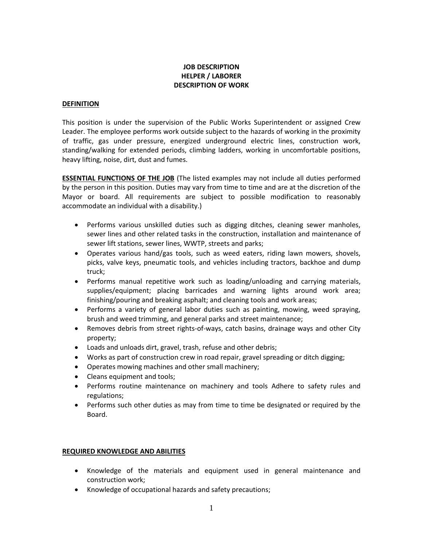## **JOB DESCRIPTION HELPER / LABORER DESCRIPTION OF WORK**

## **DEFINITION**

This position is under the supervision of the Public Works Superintendent or assigned Crew Leader. The employee performs work outside subject to the hazards of working in the proximity of traffic, gas under pressure, energized underground electric lines, construction work, standing/walking for extended periods, climbing ladders, working in uncomfortable positions, heavy lifting, noise, dirt, dust and fumes.

**ESSENTIAL FUNCTIONS OF THE JOB** (The listed examples may not include all duties performed by the person in this position. Duties may vary from time to time and are at the discretion of the Mayor or board. All requirements are subject to possible modification to reasonably accommodate an individual with a disability.)

- Performs various unskilled duties such as digging ditches, cleaning sewer manholes, sewer lines and other related tasks in the construction, installation and maintenance of sewer lift stations, sewer lines, WWTP, streets and parks;
- Operates various hand/gas tools, such as weed eaters, riding lawn mowers, shovels, picks, valve keys, pneumatic tools, and vehicles including tractors, backhoe and dump truck;
- Performs manual repetitive work such as loading/unloading and carrying materials, supplies/equipment; placing barricades and warning lights around work area; finishing/pouring and breaking asphalt; and cleaning tools and work areas;
- Performs a variety of general labor duties such as painting, mowing, weed spraying, brush and weed trimming, and general parks and street maintenance;
- Removes debris from street rights-of-ways, catch basins, drainage ways and other City property;
- Loads and unloads dirt, gravel, trash, refuse and other debris;
- Works as part of construction crew in road repair, gravel spreading or ditch digging;
- Operates mowing machines and other small machinery;
- Cleans equipment and tools;
- Performs routine maintenance on machinery and tools Adhere to safety rules and regulations;
- Performs such other duties as may from time to time be designated or required by the Board.

## **REQUIRED KNOWLEDGE AND ABILITIES**

- Knowledge of the materials and equipment used in general maintenance and construction work;
- Knowledge of occupational hazards and safety precautions;